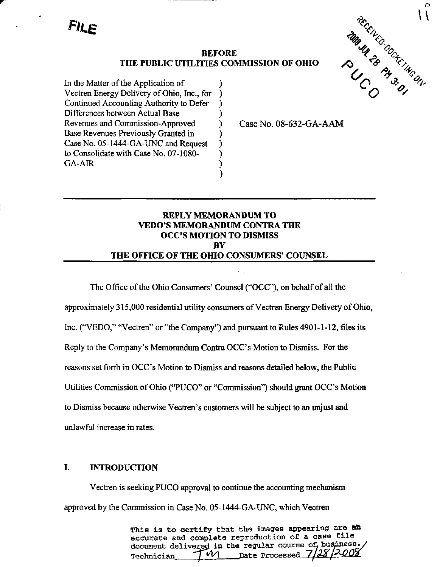FILE

# THE PUBLIC UTILITIES COMMISSION OF OHIO

)  $\lambda$  $\mathcal{E}$ )  $\lambda$  $\lambda$  $\mathcal{E}$  $\lambda$  $\mathcal{C}^{\mathcal{C}}$  $\lambda$ 

In the Matter of the Application of Vectren Energy Delivery of Ohio, Inc., for Continued Accounting Authority to Defer Differences between Actual Base Revenues and Commission-Approved Base Revenues Previously Granted in Case No. 05-1444-GA-UNC and Request to Consolidate with Case No. 07-1080- GA-AIR

Case No. 08-632-GA-AAM

# REPLY MEMORANDUM TO VEDO'S MEMORANDUM CONTRA THE OCC'S MOTION TO DISMISS **BY** THE OFFICE OF THE OHIO CONSUMERS' COUNSEL

The Office of the Ohio Consumers' Counsel ("OCC"), on behalf of all the approximately 315,000 residential utility consumers of Vectren Energy Delivery of Ohio, Inc. ("VEDO," "Vectren" or "the Company") and pursuant to Rules 4901-1-12, files its Reply to the Company's Memorandum Contra OCC's Motion to Dismiss. For the reasons set forth in OCC's Motion to Dismiss and reasons detailed below, the Public Utilities Commission of Ohio ("PUCO" or "Commission") should grant OCC's Motion to Dismiss because otherwise Vectren's customers will be subject to an unjust and unlawful increase in rates.

# L INTRODUCTION

Vectren is seeking PUCO approval to continue the accounting mechanism approved by the Commission in Case No. 05-1444-GA-UNC, which Vectren

> This is to certify that the images appearing are an accurate and complete reproduction of a case file document delivered in the regular course of business<br>Technician TW1 nate Processed  $7/28/2002$ Technician  $\begin{bmatrix} - & \mathcal{M} \ \mathcal{M} & \mathbf{Date} \end{bmatrix}$  Processed  $Z_f$

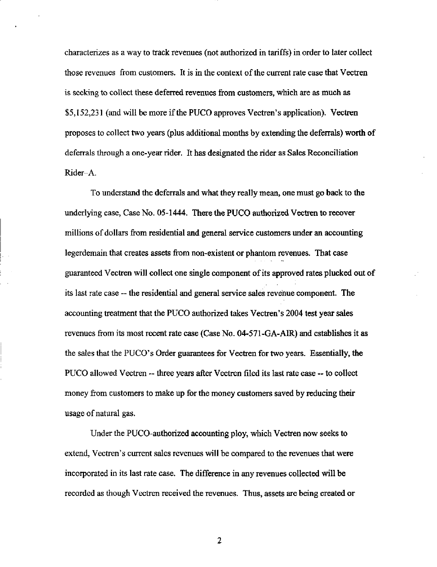characterizes as a way to track revenues (not authorized in tariffs) in order to later collect those revenues from customers. It is in the context of the current rate case that Vectren is seeking to collect these deferred revenues from customers, which are as much as \$5,152,231 (and will be more if the PUCO approves Vectren's application). Vectren proposes to collect two years (plus additional months by extending the deferrals) worth of deferrals through a one-year rider. It has designated the rider as Sales Reconciliation Rider-A.

To understand the deferrals and what they really mean, one must go back to the underlying case, Case No. 05-1444. There the PUCO authorized Vectren to recover millions of dollars from residential and general service customers imder an accounting legerdemain that creates assets from non-existent or phantom revenues. That case guaranteed Vectren will collect one single component of its approved rates plucked out of its last rate case — the residential and general service sales revenue component. The accounting treatment that the PUCO authorized takes Vectren's 2004 test year sales revenues from its most recent rate case (Case No. 04-571-GA-AIR) and establishes it as the sales that the PUCO's Order guarantees for Vectren for two years. Essentially, the PUCO allowed Vectren — three years after Vectren filed its last rate case — to collect money from customers to make up for the money customers saved by reducing their usage of natural gas.

Under the PUCO-authorized accounting ploy, which Vectren now seeks to extend, Vectren's current sales revenues will be compared to the revenues that were incorporated in its last rate case. The difference in any revenues collected will be recorded as though Vectren received the revenues. Thus, assets are being created or

 $\overline{c}$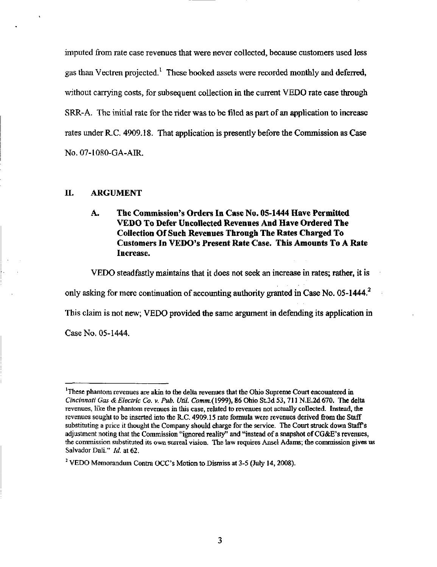imputed from rate case revenues that were never collected, because customers used less gas than Vectren projected.<sup>1</sup> These booked assets were recorded monthly and deferred, without carrying costs, for subsequent collection in the current VEDO rate case through SRR-A. The initial rate for the rider was to be filed as part of an application to increase rates under R.C. 4909.18. That application is presently before the Commission as Case NO.07-1080-GA-AIR.

#### IL ARGUMENT

# A. The Commission's Orders In Case No. 05-1444 Have Permitted VEDO To Defer Uncollected Revenues And Have Ordered The Collection Of Such Revenues Through The Rates Charged To Customers In VEDO's Present Rate Case. This Amounts To A Rate Increase.

VEDO steadfastly maintains that it does not seek an increase in rates; rather, it is

only asking for mere continuation of accounting authority granted in Case No. 05-1444.<sup>2</sup>

This claim is not new; VEDO provided the same argument in defending its application in

Case No. 05-1444.

<sup>&</sup>lt;sup>1</sup>These phantom revenues are akin to the delta revenues that the Ohio Supreme Court encountered in Cincinnati Gas & Electric Co. v. Pub. Util. Comm.(1999), 86 Ohio St.3d 53, 711 N.E.2d 670. The delta revenues, Hke the phantom revenues in this case, related to revenues not actually collected. Instead, the revenues sought to be inserted into the R.C. 4909.15 rate formula were revenues derived from the Staff substituting a price it thought the Company should charge for the service. The Court struck down Staffs adjustment noting that the Commission "ignored reality" and "instead of a snapshot of CG&E's revenues, the commission substituted its own surreal vision. The law requires Ansel Adams; the commission gives us Salvador Dali." *Id.* at 62.

<sup>&</sup>lt;sup>2</sup> VEDO Memorandum Contra OCC's Motion to Dismiss at 3-5 (July 14, 2008).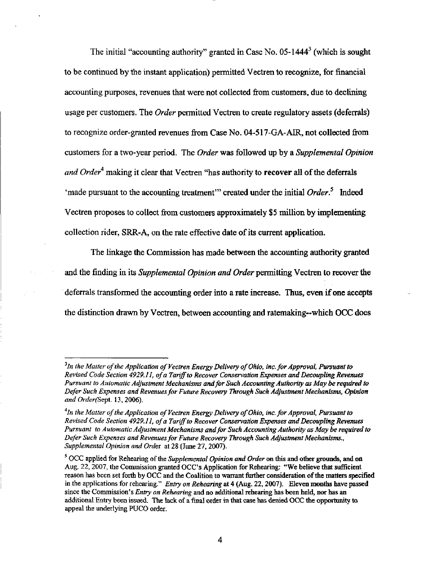The initial "accounting authority" granted in Case No. 05-1444<sup>3</sup> (which is sought to be continued by the instant application) permitted Vectren to recognize, for financial accounting purposes, revenues that were not collected from customers, due to declining usage per customers. The *Order* permitted Vectren to create regulatory assets (deferrals) to recognize order-granted revenues from Case No. 04-517-GA-AIR, not collected from customers for a two-year period. The Order was followed up by a Supplemental Opinion and Order<sup>4</sup> making it clear that Vectren "has authority to recover all of the deferrals 'made pursuant to the accounting treatment'" created under the initial  $Order^5$  Indeed Vectren proposes to collect from customers approximately \$5 million by implementing collection rider, SRR-A, on the rate effective date of its current application.

The linkage the Commission has made between the accounting authority granted and the finding in its *Supplemental Opinion and Order* permitting Vectren to recover the deferrals transformed the accounting order into a rate increase. Thus, even if one accepts the distinction drawn by Vectren, between accounting and ratemaking—which OCC does

 $^3$ In the Matter of the Application of Vectren Energy Delivery of Ohio, inc. for Approval, Pursuant to Revised Code Section 4929.11, of a Tariff to Recover Conservation Expenses and Decoupling Revenues Pursuant to Automatic Adjustment Mechanisms and for Such Accounting Authority as May be required to Defer Such Expenses and Revenues for Future Recovery Through Such Adjustment Mechanisms, Opinion and Order(Sept. 13, 2006).

 $^4$ In the Matter of the Application of Vectren Energy Delivery of Ohio, inc. for Approval, Pursuant to Revised Code Section 4929.11, of a Tariff to Recover Conservation Expenses and Decoupling Revenues Pursuant to Automatic Adjustment Mechanisms and for Such Accounting Authority as May be required to Defer Such Expenses and Revenues for Future Recovery Through Such Adjustment Mechanisms., Supplemental Opinion and Order at 28 (June 27, 2007).

 $<sup>5</sup> OCC$  applied for Rehearing of the Supplemental Opinion and Order on this and other grounds, and on</sup> Aug. 22, 2007, the Commission granted OCC's Application for Rehearing: "We believe that sufficient reason has been set forth by OCC and the Coalition to warrant further consideration of the matters specified in the applications for rehearing." Entry on Rehearing at 4 (Aug. 22, 2007). Eleven months have passed since the Commission's Entry on Rehearing and no additional rehearing has been held, nor has an additional Entry been issued. The lack of a final order in that case has denied OCC the opportunity to appeal the underlying PUCO order.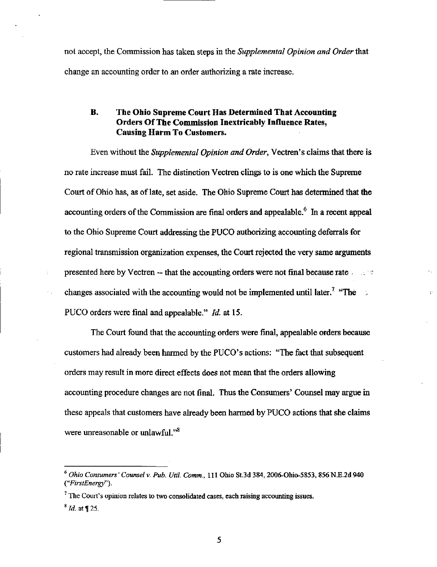not accept, the Commission has taken steps in the Supplemental Opinion and Order that change an accounting order to an order authorizing a rate increase.

## B. The Ohio Supreme Court Has Determined That Accounting Orders Of The Commission Inextricably Influence Rates, Causing Harm To Customers.

Even without the Supplemental Opinion and Order, Vectren's claims that there is no rate increase must fail. The distinction Vectren clings to is one which the Supreme Court of Ohio has, as of late, set aside. The Ohio Supreme Court has determined that the accounting orders of the Commission are final orders and appealable. $<sup>6</sup>$  In a recent appeal</sup> to the Ohio Supreme Court addressing the PUCO authorizing accounting deferrals for regional transmission organization expenses, the Court rejected the very same arguments presented here by Vectren — that the accounting orders were not final because rate  $\cdots$ changes associated with the accounting would not be implemented until later.<sup>7</sup> "The : PUCO orders were final and appealable." Id. at 15.

The Court found that the accounting orders were final, appealable orders because customers had already been harmed by the PUCO's actions: "The fact that subsequent orders may result in more direct effects does not mean that the orders allowing accounting procedure changes are not final. Thus the Consumers' Counsel may argue in these appeals that customers have aheady been harmed by PUCO actions that she claims were unreasonable or unlawful." $8$ 

 $^6$  Ohio Consumers' Counsel v. Pub. Util. Comm., 111 Ohio St.3d 384, 2006-Ohio-5853, 856 N.E.2d 940 (^'FirstEnergy'').

 $<sup>7</sup>$  The Court's opinion relates to two consolidated cases, each raising accounting issues.</sup>

 $^{8}$  *Id.* at  $\P$  25.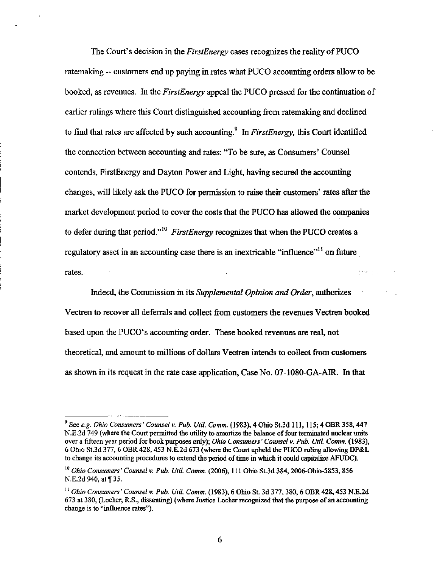The Court's decision in the *FirstEnergy* cases recognizes the reality of PUCO ratemaking — customers end up paying in rates what PUCO accounting orders allow to be booked, as revenues. In the *FirstEnergy* appeal the PUCO pressed for the continuation of earlier rulings where this Court distinguished accounting from ratemaking and declined to find that rates are affected by such accounting.<sup>9</sup> In FirstEnergy, this Court identified the connection between accounting and rates: "To be sure, as Consumers' Counsel contends, FirstEnergy and Dayton Power and Light, having secured the accountmg changes, will likely ask the PUCO for permission to raise their customers' rates after the market development period to cover the costs that the PUCO has allowed the companies to defer during that period."<sup>10</sup> FirstEnergy recognizes that when the PUCO creates a regulatory asset in an accounting case there is an inextricable "influence"<sup> $11$ </sup> on future rates.

Indeed, the Commission in its Supplemental Opinion and Order, authorizes Vectren to recover all deferrals and collect from customers the revenues Vectren booked based upon the PUCO's accounting order. These booked revenues are real, not theoretical, and amount to millions of dollars Vectren intends to collect from customers as shown in its request in the rate case application, Case No. 07-1080-GA-AIR. In that

 $^9$  See e.g. Ohio Consumers' Counsel v. Pub. Util. Comm. (1983), 4 Ohio St.3d 111, 115; 4 OBR 358, 447 N.E.2d 749 (where the Court permitted the utility to amortize the balance of four terminated nuclear units over a fifteen year period for book purposes only); Ohio Consumers' Counsel v. Pub. Util. Comm. (1983), 6 Ohio St.3d 377, 6 OBR 428, 453 N.E.2d 673 (where the Court upheld the PUCO nilmg allowing DP&L to change its accounting procedures to extend the period of time in which it could capitalize AFUDC).

 $^{10}$  Ohio Consumers' Counsel v. Pub. Util. Comm. (2006), 111 Ohio St.3d 384, 2006-Ohio-5853, 856 N.E.2d 940, at [135.

 $^{11}$  Ohio Consumers' Counsel v. Pub. Util. Comm. (1983), 6 Ohio St. 3d 377, 380, 6 OBR 428, 453 N.E.2d 673 at 380, (Locher, R.S., dissenting) (where Justice Locher recognized that the purpose of an accounting change is to "influence rates").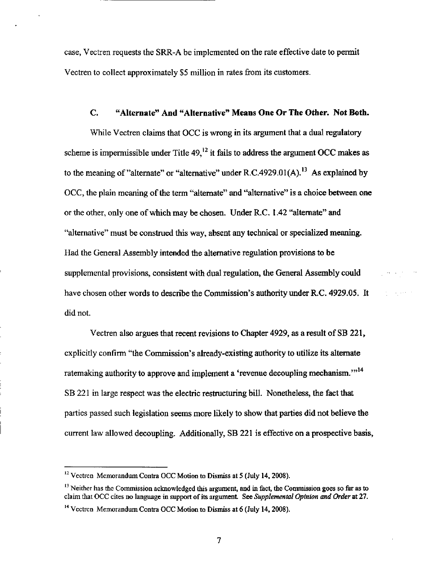case, Vectren requests the SRR-A be implemented on the rate effective date to permit Vectren to collect approximately \$5 million in rates from its customers.

#### C. "Alternate" And "Alternative" Means One Or The Other. Not Both.

While Vectren claims that OCC is wrong in its argument that a dual regulatory scheme is impermissible under Title  $49<sup>12</sup>$  it fails to address the argument OCC makes as to the meaning of "alternate" or "alternative" under R.C.4929.01(A).<sup>13</sup> As explained by OCC, the plain meaning of the term "alternate" and "alternative" is a choice between one or the other, only one of which may be chosen. Under R.C, 1.42 "alternate" and "alternative" must be construed this way, absent any technical or specialized meaning. Had the General Assembly intended the alternative regulation provisions to be supplemental provisions, consistent with dual regulation, the General Assembly could have chosen other words to describe the Commission's authority under R.C. 4929.05. It did not.

 $\delta_{\rm eff}$  , and  $\delta_{\rm eff}$  is  $\delta_{\rm eff}$  .

Vectren also argues that recent revisions to Chapter 4929, as a result of SB 221, explicitly confirm "the Commission's already-existing authority to utilize its alternate ratemaking authority to approve and implement a 'revenue decoupling mechanism."<sup>14</sup> SB 221 in large respect was the electric restructuring bill. Nonetheless, the fact that parties passed such legislation seems more likely to show that parties did not believe the current law allowed decoupling. Additionally, SB 221 is effective on a prospective basis,

 $12$  Vectren Memorandum Contra OCC Motion to Dismiss at 5 (July 14, 2008).

<sup>&</sup>lt;sup>13</sup> Neither has the Commission acknowledged this argument, and in fact, the Commission goes so far as to claim that OCC cites no language in support of its argument. See Supplemental Opinion and Order at 27.

<sup>&</sup>lt;sup>14</sup> Vectren Memorandum Contra OCC Motion to Dismiss at 6 (July 14, 2008).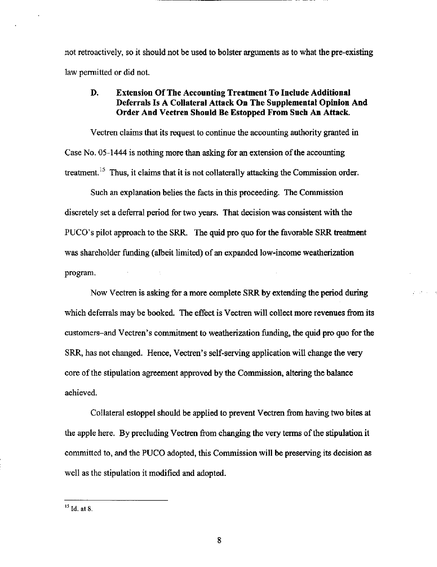not retroactively, so it should not be used to bolster arguments as to what the pre-existing law permitted or did not.

## D. Extension Of The Accounting Treatment To Include Additional Deferrals Is A Collateral Attack On The Supplemental Opinion And Order And Vectren Should Be Estopped From Such An Attack.

Vectren claims that its request to continue the accounting authority granted in Case No. 05-1444 is nothing more than asking for an extension of the accounting treatment.<sup>15</sup> Thus, it claims that it is not collaterally attacking the Commission order.

Such an explanation belies the facts in this proceeding. The Commission discretely set a deferral period for two years. That decision was consistent with the PUCO's pilot approach to the SRR. The quid pro quo for the favorable SRR treatment was shareholder fimding (albeit limited) of an expanded low-income weatherization program.

Now Vectren is asking for a more complete SRR by extending the period during which deferrals may be booked. The effect is Vectren will collect more revenues from its customers-and Vectren's commitment to weatherization fimding, the quid pro quo for the SRR, has not changed. Hence, Vectren's self-serving application will change the very core of the stipulation agreement approved by the Commission, altering the balance achieved.

Collateral estoppel should be applied to prevent Vectren from having two bites at the apple here. By precluding Vectren from changing the very terms of the stipulation it committed to, and the PUCO adopted, this Commission will be preserving its decision as well as the stipulation it modified and adopted.

 $^{15}$  Id. at 8.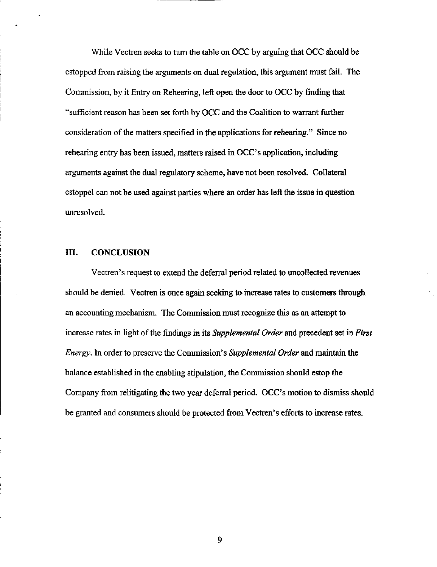While Vectren seeks to turn the table on OCC by arguing that OCC should be estopped from raising the arguments on dual regulation, this argument must fail. The Commission, by it Entry on Rehearing, left open the door to OCC by finding that "sufficient reason has been set forth by OCC and the Coalition to warrant further consideration of the matters specified in the applications for rehearing." Since no rehearing entry has been issued, matters raised in OCC's application, including arguments against the dual regulatory scheme, have not been resolved. Collateral estoppel can not be used against parties where an order has left the issue in question unresolved.

### IIL CONCLUSION

Vectren's request to extend the deferral period related to uncollected revenues should be denied. Vectren is once again seeking to increase rates to customers through an accounting mechanism. The Commission must recognize this as an attempt to increase rates in light of the findings in its Supplemental Order and precedent set in First Energy. In order to preserve the Commission's Supplemental Order and maintain the balance established in the enabling stipulation, the Commission should estop the Company from relitigating the two year deferral period. OCC's motion to dismiss should be granted and consumers should be protected from Vectren's efforts to increase rates.

9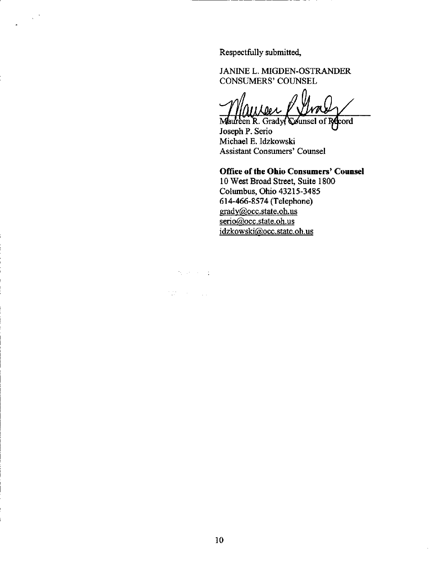Respectfully submitted,

JANINE L. MIGDEN-OSTRANDER CONSUMERS' COUNSEL

aareer

lureen R. Grady( Joseph P. Serio Michael E. Idzkowski Assistant Consumers' Counsel

## Office of the Ohio Consumers' Counsel

10 West Broad Street, Suite 1800 Columbus, Ohio 43215-3485 614-466-8574 (Telephone) [gradv@occ.state.oh.us](mailto:gradv@occ.state.oh.us) serio@occ.state.oh.us [idzkowski@occ.state.oh.us](mailto:idzkowski@occ.state.oh.us) 

#### $\mathcal{H}^{\pm}$  and  $\mathcal{H}^{\pm}$  and  $\mathcal{H}^{\pm}$

 $\chi^{(0)}$ 

 $\mathcal{Z}^{\text{max}}_{\text{max}}$  , where  $\mathcal{Z}^{\text{max}}_{\text{max}}$